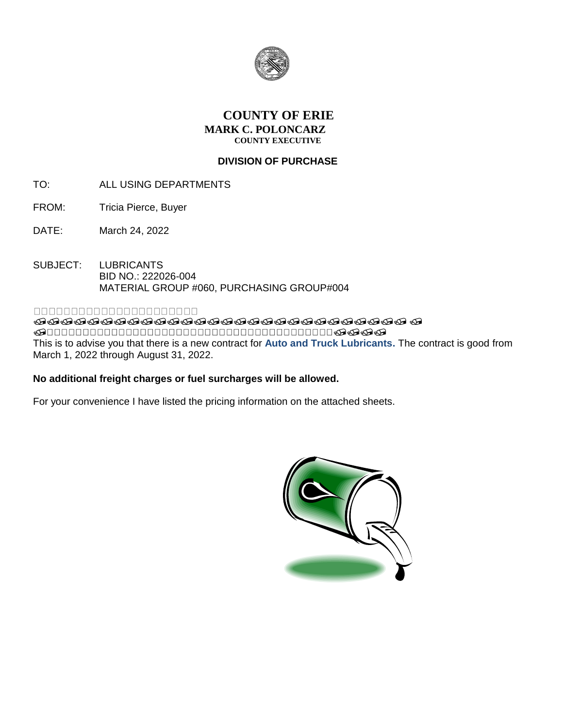

## **COUNTY OF ERIE MARK C. POLONCARZ COUNTY EXECUTIVE**

## **DIVISION OF PURCHASE**

- TO: ALL USING DEPARTMENTS
- FROM: Tricia Pierce, Buyer
- DATE: March 24, 2022
- SUBJECT: LUBRICANTS BID NO.: 222026-004 MATERIAL GROUP #060, PURCHASING GROUP#004

### 000000000000000000000

**ଜଉତ୍ତବର୍ଷତ୍ତବର୍ଷତ୍ତବର୍ଷତ୍ତବର୍ଷତ୍ତବର୍ଷତ୍ତବର୍ଷତ୍ତ** ବ  $\bullet\texttt{0} \bullet\texttt{0} \bullet\texttt{0} \bullet\texttt{0}$ This is to advise you that there is a new contract for **Auto and Truck Lubricants.** The contract is good from March 1, 2022 through August 31, 2022.

### **No additional freight charges or fuel surcharges will be allowed.**

For your convenience I have listed the pricing information on the attached sheets.

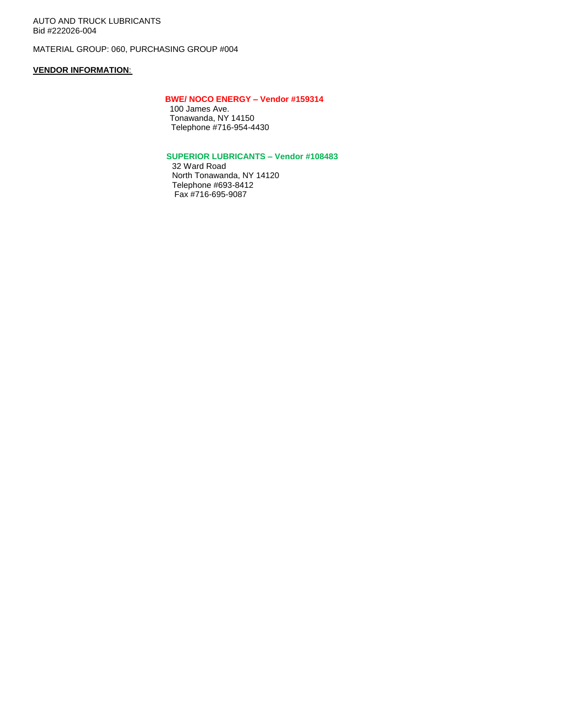AUTO AND TRUCK LUBRICANTS Bid #222026-004

MATERIAL GROUP: 060, PURCHASING GROUP #004

#### **VENDOR INFORMATION**:

#### **BWE/ NOCO ENERGY – Vendor #159314**

 100 James Ave. Tonawanda, NY 14150 Telephone #716-954-4430

#### **SUPERIOR LUBRICANTS – Vendor #108483**

32 Ward Road North Tonawanda, NY 14120 Telephone #693-8412 Fax #716-695-9087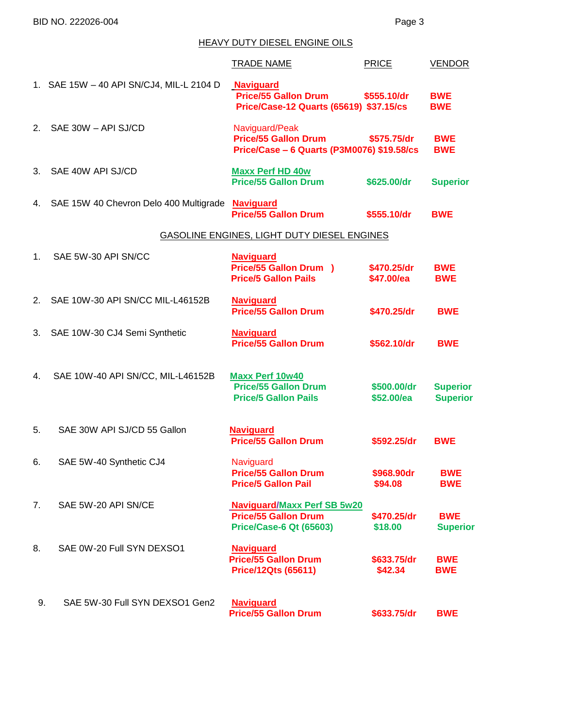# HEAVY DUTY DIESEL ENGINE OILS

|                |                                           | <b>TRADE NAME</b>                                                                                   | <b>PRICE</b>              | <b>VENDOR</b>                      |
|----------------|-------------------------------------------|-----------------------------------------------------------------------------------------------------|---------------------------|------------------------------------|
|                | 1. SAE 15W - 40 API SN/CJ4, MIL-L 2104 D  | <b>Naviguard</b><br><b>Price/55 Gallon Drum</b><br>Price/Case-12 Quarts (65619) \$37.15/cs          | \$555.10/dr               | <b>BWE</b><br><b>BWE</b>           |
| 2.             | SAE 30W - API SJ/CD                       | Naviguard/Peak<br><b>Price/55 Gallon Drum</b><br>Price/Case - 6 Quarts (P3M0076) \$19.58/cs         | \$575.75/dr               | <b>BWE</b><br><b>BWE</b>           |
| 3.             | SAE 40W API SJ/CD                         | <b>Maxx Perf HD 40w</b><br><b>Price/55 Gallon Drum</b>                                              | \$625.00/dr               | <b>Superior</b>                    |
|                | 4. SAE 15W 40 Chevron Delo 400 Multigrade | <b>Naviguard</b><br><b>Price/55 Gallon Drum</b>                                                     | \$555.10/dr               | <b>BWE</b>                         |
|                |                                           | GASOLINE ENGINES, LIGHT DUTY DIESEL ENGINES                                                         |                           |                                    |
| 1 <sub>1</sub> | SAE 5W-30 API SN/CC                       | <b>Naviguard</b><br><b>Price/55 Gallon Drum )</b><br><b>Price/5 Gallon Pails</b>                    | \$470.25/dr<br>\$47.00/ea | <b>BWE</b><br><b>BWE</b>           |
| 2.             | SAE 10W-30 API SN/CC MIL-L46152B          | <b>Naviguard</b><br><b>Price/55 Gallon Drum</b>                                                     | \$470.25/dr               | <b>BWE</b>                         |
|                | 3. SAE 10W-30 CJ4 Semi Synthetic          | <b>Naviguard</b><br><b>Price/55 Gallon Drum</b>                                                     | \$562.10/dr               | <b>BWE</b>                         |
| 4.             | SAE 10W-40 API SN/CC, MIL-L46152B         | <b>Maxx Perf 10w40</b><br><b>Price/55 Gallon Drum</b><br><b>Price/5 Gallon Pails</b>                | \$500.00/dr<br>\$52.00/ea | <b>Superior</b><br><b>Superior</b> |
| 5.             | SAE 30W API SJ/CD 55 Gallon               | <b>Naviguard</b><br><b>Price/55 Gallon Drum</b>                                                     | \$592.25/dr               | <b>BWE</b>                         |
| 6.             | SAE 5W-40 Synthetic CJ4                   | Naviguard<br><b>Price/55 Gallon Drum</b><br><b>Price/5 Gallon Pail</b>                              | \$968.90dr<br>\$94.08     | <b>BWE</b><br><b>BWE</b>           |
| 7.             | SAE 5W-20 API SN/CE                       | <b>Naviguard/Maxx Perf SB 5w20</b><br><b>Price/55 Gallon Drum</b><br><b>Price/Case-6 Qt (65603)</b> | \$470.25/dr<br>\$18.00    | <b>BWE</b><br><b>Superior</b>      |
| 8.             | SAE 0W-20 Full SYN DEXSO1                 | <b>Naviguard</b><br><b>Price/55 Gallon Drum</b><br><b>Price/12Qts (65611)</b>                       | \$633.75/dr<br>\$42.34    | <b>BWE</b><br><b>BWE</b>           |
| 9.             | SAE 5W-30 Full SYN DEXSO1 Gen2            | <b>Naviguard</b><br><b>Price/55 Gallon Drum</b>                                                     | \$633.75/dr               | <b>BWE</b>                         |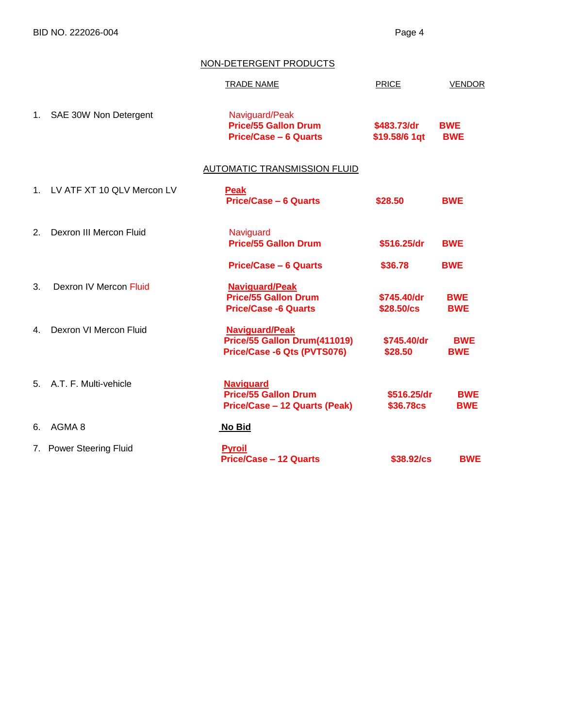BID NO. 222026-004 Page 4

## NON-DETERGENT PRODUCTS

|         |                            | <b>TRADE NAME</b>                                                                       | PRICE                           | <b>VENDOR</b>            |
|---------|----------------------------|-----------------------------------------------------------------------------------------|---------------------------------|--------------------------|
| 1.      | SAE 30W Non Detergent      | Naviguard/Peak<br><b>Price/55 Gallon Drum</b><br><b>Price/Case - 6 Quarts</b>           | \$483.73/dr<br>\$19.58/6 1qt    | <b>BWE</b><br><b>BWE</b> |
|         |                            | AUTOMATIC TRANSMISSION FLUID                                                            |                                 |                          |
| $1_{-}$ | LV ATF XT 10 QLV Mercon LV | <b>Peak</b><br><b>Price/Case - 6 Quarts</b>                                             | \$28.50                         | <b>BWE</b>               |
| 2.      | Dexron III Mercon Fluid    | Naviguard<br><b>Price/55 Gallon Drum</b>                                                | \$516.25/dr                     | <b>BWE</b>               |
|         |                            | <b>Price/Case - 6 Quarts</b>                                                            | \$36.78                         | <b>BWE</b>               |
| 3.      | Dexron IV Mercon Fluid     | <b>Naviguard/Peak</b><br><b>Price/55 Gallon Drum</b><br><b>Price/Case -6 Quarts</b>     | \$745.40/dr<br>\$28.50/cs       | <b>BWE</b><br><b>BWE</b> |
| 4.      | Dexron VI Mercon Fluid     | <b>Naviguard/Peak</b><br>Price/55 Gallon Drum(411019)<br>Price/Case -6 Qts (PVTS076)    | \$745.40/dr<br>\$28.50          | <b>BWE</b><br><b>BWE</b> |
|         | 5. A.T. F. Multi-vehicle   | <b>Naviguard</b><br><b>Price/55 Gallon Drum</b><br><b>Price/Case - 12 Quarts (Peak)</b> | \$516.25/dr<br><b>\$36.78cs</b> | <b>BWE</b><br><b>BWE</b> |
| 6.      | AGMA <sub>8</sub>          | No Bid                                                                                  |                                 |                          |
|         | 7. Power Steering Fluid    | <b>Pyroil</b><br><b>Price/Case - 12 Quarts</b>                                          | \$38.92/cs                      | <b>BWE</b>               |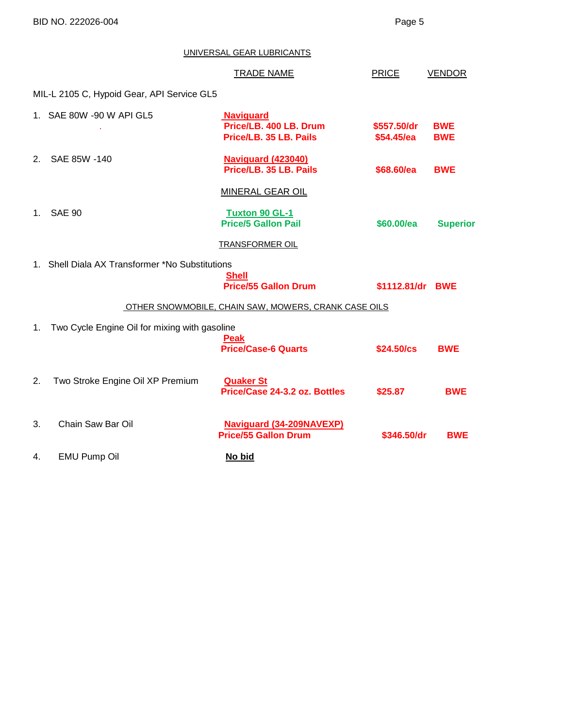BID NO. 222026-004 Page 5

UNIVERSAL GEAR LUBRICANTS

|    |                                                 | <b>TRADE NAME</b>                                                    | <b>PRICE</b>              | <b>VENDOR</b>            |
|----|-------------------------------------------------|----------------------------------------------------------------------|---------------------------|--------------------------|
|    | MIL-L 2105 C, Hypoid Gear, API Service GL5      |                                                                      |                           |                          |
|    | 1. SAE 80W -90 W API GL5                        | <b>Naviguard</b><br>Price/LB, 400 LB, Drum<br>Price/LB. 35 LB. Pails | \$557.50/dr<br>\$54.45/ea | <b>BWE</b><br><b>BWE</b> |
| 2. | SAE 85W -140                                    | <b>Naviguard (423040)</b><br>Price/LB. 35 LB. Pails                  | \$68.60/ea                | <b>BWE</b>               |
|    |                                                 | <b>MINERAL GEAR OIL</b>                                              |                           |                          |
| 1. | <b>SAE 90</b>                                   | <b>Tuxton 90 GL-1</b><br><b>Price/5 Gallon Pail</b>                  | \$60.00/ea                | <b>Superior</b>          |
|    |                                                 | <b>TRANSFORMER OIL</b>                                               |                           |                          |
|    | 1. Shell Diala AX Transformer *No Substitutions | <b>Shell</b><br><b>Price/55 Gallon Drum</b>                          | \$1112.81/dr BWE          |                          |
|    |                                                 | OTHER SNOWMOBILE, CHAIN SAW, MOWERS, CRANK CASE OILS                 |                           |                          |
| 1. | Two Cycle Engine Oil for mixing with gasoline   | <b>Peak</b><br><b>Price/Case-6 Quarts</b>                            | \$24.50/cs                | <b>BWE</b>               |
| 2. | Two Stroke Engine Oil XP Premium                | <b>Quaker St</b><br>Price/Case 24-3.2 oz. Bottles                    | \$25.87                   | <b>BWE</b>               |
| 3. | Chain Saw Bar Oil                               | <b>Naviguard (34-209NAVEXP)</b><br><b>Price/55 Gallon Drum</b>       | \$346.50/dr               | <b>BWE</b>               |
| 4. | <b>EMU Pump Oil</b>                             | No bid                                                               |                           |                          |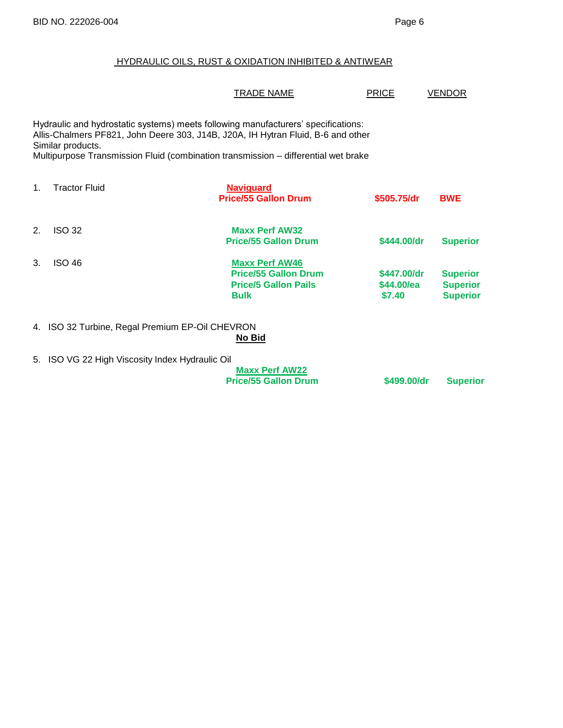# HYDRAULIC OILS, RUST & OXIDATION INHIBITED & ANTIWEAR

|         |                                                                                                                                                                                                                                                                                  | <b>TRADE NAME</b>                                                                                  | <b>PRICE</b>                        | VENDOR                                                |
|---------|----------------------------------------------------------------------------------------------------------------------------------------------------------------------------------------------------------------------------------------------------------------------------------|----------------------------------------------------------------------------------------------------|-------------------------------------|-------------------------------------------------------|
|         | Hydraulic and hydrostatic systems) meets following manufacturers' specifications:<br>Allis-Chalmers PF821, John Deere 303, J14B, J20A, IH Hytran Fluid, B-6 and other<br>Similar products.<br>Multipurpose Transmission Fluid (combination transmission - differential wet brake |                                                                                                    |                                     |                                                       |
| $1_{-}$ | <b>Tractor Fluid</b>                                                                                                                                                                                                                                                             | <b>Naviguard</b><br><b>Price/55 Gallon Drum</b>                                                    | \$505,75/dr                         | <b>BWE</b>                                            |
| 2.      | <b>ISO 32</b>                                                                                                                                                                                                                                                                    | <b>Maxx Perf AW32</b><br><b>Price/55 Gallon Drum</b>                                               | \$444.00/dr                         | <b>Superior</b>                                       |
| 3.      | <b>ISO 46</b>                                                                                                                                                                                                                                                                    | <b>Maxx Perf AW46</b><br><b>Price/55 Gallon Drum</b><br><b>Price/5 Gallon Pails</b><br><b>Bulk</b> | \$447.00/dr<br>\$44.00/ea<br>\$7.40 | <b>Superior</b><br><b>Superior</b><br><b>Superior</b> |
|         | 4. ISO 32 Turbine, Regal Premium EP-Oil CHEVRON                                                                                                                                                                                                                                  | No Bid                                                                                             |                                     |                                                       |
|         | 5. ISO VG 22 High Viscosity Index Hydraulic Oil                                                                                                                                                                                                                                  | <b>Maxx Perf AW22</b><br><b>Price/55 Gallon Drum</b>                                               | \$499,00/dr                         | <b>Superior</b>                                       |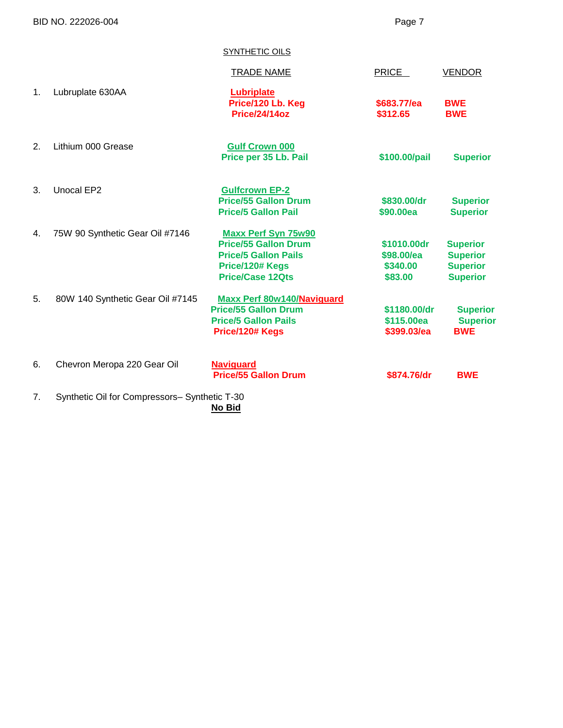BID NO. 222026-004 Page 7

| SYNTHETIC OILS |
|----------------|
|----------------|

|    |                                               | <b>TRADE NAME</b>                                                                                                                      | PRICE                                            | <b>VENDOR</b>                                                            |
|----|-----------------------------------------------|----------------------------------------------------------------------------------------------------------------------------------------|--------------------------------------------------|--------------------------------------------------------------------------|
| 1. | Lubruplate 630AA                              | <b>Lubriplate</b><br>Price/120 Lb. Keg<br><b>Price/24/14oz</b>                                                                         | \$683.77/ea<br>\$312.65                          | <b>BWE</b><br><b>BWE</b>                                                 |
| 2. | Lithium 000 Grease                            | <b>Gulf Crown 000</b><br>Price per 35 Lb. Pail                                                                                         | \$100.00/pail                                    | <b>Superior</b>                                                          |
| 3. | Unocal EP2                                    | <b>Gulfcrown EP-2</b><br><b>Price/55 Gallon Drum</b><br><b>Price/5 Gallon Pail</b>                                                     | \$830.00/dr<br>\$90.00ea                         | <b>Superior</b><br><b>Superior</b>                                       |
| 4. | 75W 90 Synthetic Gear Oil #7146               | <b>Maxx Perf Syn 75w90</b><br><b>Price/55 Gallon Drum</b><br><b>Price/5 Gallon Pails</b><br>Price/120# Kegs<br><b>Price/Case 12Qts</b> | \$1010.00dr<br>\$98.00/ea<br>\$340.00<br>\$83.00 | <b>Superior</b><br><b>Superior</b><br><b>Superior</b><br><b>Superior</b> |
| 5. | 80W 140 Synthetic Gear Oil #7145              | Maxx Perf 80w140/Naviguard<br><b>Price/55 Gallon Drum</b><br><b>Price/5 Gallon Pails</b><br>Price/120# Kegs                            | \$1180,00/dr<br>\$115.00ea<br>\$399.03/ea        | <b>Superior</b><br><b>Superior</b><br><b>BWE</b>                         |
| 6. | Chevron Meropa 220 Gear Oil                   | <b>Naviguard</b><br><b>Price/55 Gallon Drum</b>                                                                                        | \$874.76/dr                                      | <b>BWE</b>                                                               |
| 7. | Synthetic Oil for Compressors- Synthetic T-30 | No Bid                                                                                                                                 |                                                  |                                                                          |